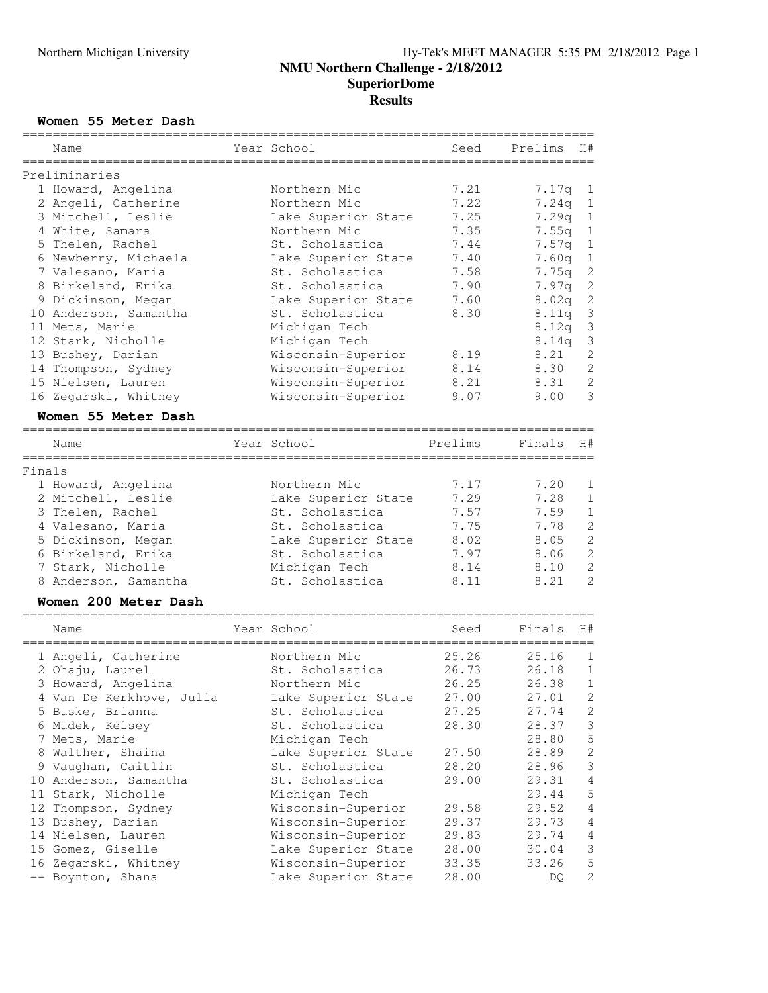### **Women 55 Meter Dash**

|        | Name                     | Year School                     | Seed    | Prelims<br>H#              |
|--------|--------------------------|---------------------------------|---------|----------------------------|
|        | Preliminaries            |                                 |         |                            |
|        | 1 Howard, Angelina       | Northern Mic                    | 7.21    | 7.17q<br>$\mathbf 1$       |
|        | 2 Angeli, Catherine      | Northern Mic                    | 7.22    | 7.24q<br>$\mathbf 1$       |
|        | 3 Mitchell, Leslie       | Lake Superior State             | 7.25    | 7.29q<br>$\mathbf 1$       |
|        | 4 White, Samara          | Northern Mic                    | 7.35    | $\mathbf 1$<br>7.55q       |
|        | 5 Thelen, Rachel         | St. Scholastica                 | 7.44    | 1                          |
|        |                          |                                 | 7.40    | 7.57q<br>$\mathbf 1$       |
|        | 6 Newberry, Michaela     | Lake Superior State             |         | 7.60q                      |
|        | 7 Valesano, Maria        | St. Scholastica                 | 7.58    | $\overline{c}$<br>7.75q    |
|        | 8 Birkeland, Erika       | St. Scholastica                 | 7.90    | $\overline{c}$<br>7.97q    |
|        | 9 Dickinson, Megan       | Lake Superior State             | 7.60    | $\overline{c}$<br>8.02q    |
|        | 10 Anderson, Samantha    | St. Scholastica                 | 8.30    | $\mathcal{S}$<br>8.11q     |
|        | 11 Mets, Marie           | Michigan Tech                   |         | 3<br>8.12q                 |
|        | 12 Stark, Nicholle       | Michigan Tech                   |         | 3<br>8.14q                 |
|        | 13 Bushey, Darian        | Wisconsin-Superior              | 8.19    | $\mathbf{2}$<br>8.21       |
|        | 14 Thompson, Sydney      | Wisconsin-Superior              | 8.14    | $\overline{c}$<br>8.30     |
|        | 15 Nielsen, Lauren       | Wisconsin-Superior              | 8.21    | $\overline{c}$<br>8.31     |
|        | 16 Zegarski, Whitney     | Wisconsin-Superior              | 9.07    | 3<br>9.00                  |
|        | Women 55 Meter Dash      |                                 |         |                            |
|        |                          |                                 |         |                            |
|        | Name                     | Year School                     | Prelims | Finals<br>H#               |
| Finals |                          |                                 |         |                            |
|        | 1 Howard, Angelina       | Northern Mic                    | 7.17    | 7.20<br>1                  |
|        | 2 Mitchell, Leslie       | Lake Superior State             | 7.29    | $1\,$<br>7.28              |
|        | 3 Thelen, Rachel         | St. Scholastica                 | 7.57    | $1\,$<br>7.59              |
|        | 4 Valesano, Maria        | St. Scholastica                 | 7.75    | $\mathbf{2}$<br>7.78       |
|        | 5 Dickinson, Megan       | Lake Superior State             | 8.02    | $\overline{c}$<br>8.05     |
|        | 6 Birkeland, Erika       | St. Scholastica                 | 7.97    | $\overline{c}$<br>8.06     |
|        | 7 Stark, Nicholle        | Michigan Tech                   | 8.14    | $\overline{c}$<br>8.10     |
|        | 8 Anderson, Samantha     | St. Scholastica                 | 8.11    | $\overline{2}$<br>8.21     |
|        |                          |                                 |         |                            |
|        | Women 200 Meter Dash     |                                 |         |                            |
|        | Name                     | Year School                     | Seed    | H#<br>Finals               |
|        |                          |                                 |         |                            |
|        | 1 Angeli, Catherine      | Northern Mic<br>St. Scholastica | 25.26   | 25.16<br>1<br>$\mathbf{1}$ |
|        | 2 Ohaju, Laurel          |                                 | 26.73   | 26.18                      |
|        | 3 Howard, Angelina       | Northern Mic                    | 26.25   | $1\,$<br>26.38             |
|        | 4 Van De Kerkhove, Julia | Lake Superior State             | 27.00   | 27.01<br>2                 |
|        | 5 Buske, Brianna         | St. Scholastica                 | 27.25   | $\mathbf{2}$<br>27.74      |
|        | 6 Mudek, Kelsey          | St. Scholastica                 | 28.30   | 3<br>28.37                 |
|        | 7 Mets, Marie            | Michigan Tech                   |         | 5<br>28.80                 |
|        | 8 Walther, Shaina        | Lake Superior State             | 27.50   | $\sqrt{2}$<br>28.89        |
|        | 9 Vaughan, Caitlin       | St. Scholastica                 | 28.20   | $\mathfrak{Z}$<br>28.96    |
|        | 10 Anderson, Samantha    | St. Scholastica                 | 29.00   | $\overline{4}$<br>29.31    |
|        | 11 Stark, Nicholle       | Michigan Tech                   |         | 5<br>29.44                 |
|        | 12 Thompson, Sydney      | Wisconsin-Superior              | 29.58   | 29.52<br>4                 |
|        | 13 Bushey, Darian        | Wisconsin-Superior              | 29.37   | $\overline{4}$<br>29.73    |
|        | 14 Nielsen, Lauren       | Wisconsin-Superior              | 29.83   | 29.74<br>$\overline{4}$    |
|        | 15 Gomez, Giselle        | Lake Superior State             | 28.00   | 3<br>30.04                 |
|        | 16 Zegarski, Whitney     | Wisconsin-Superior              | 33.35   | 5<br>33.26                 |
|        | -- Boynton, Shana        | Lake Superior State             | 28.00   | $\overline{c}$<br>DQ       |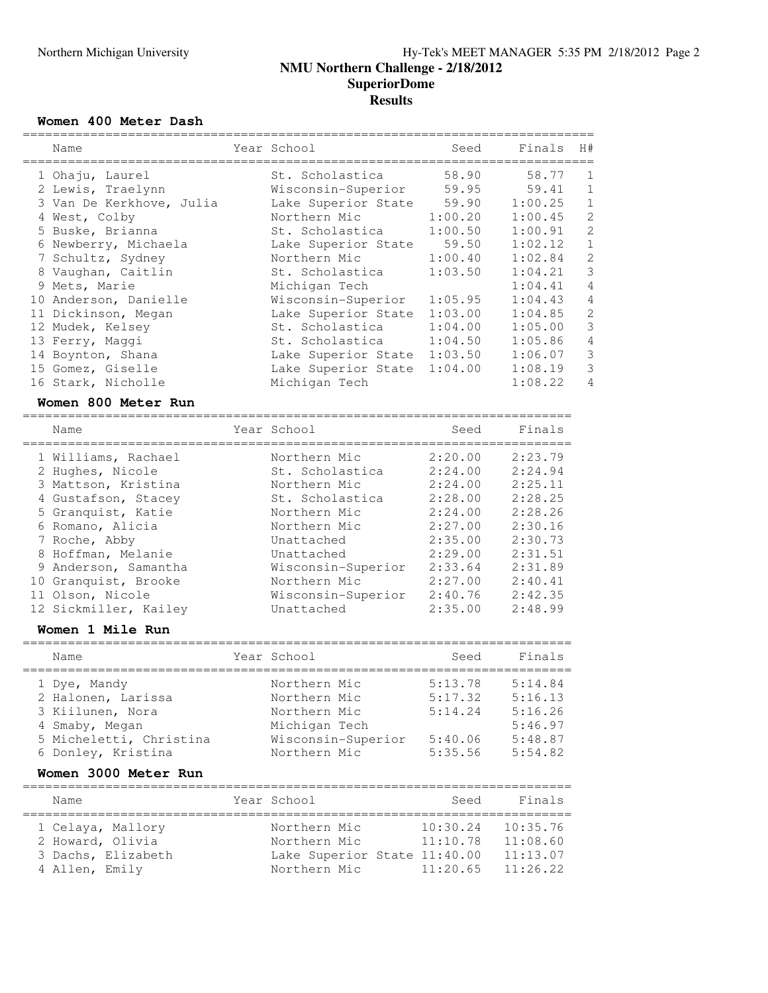### **Women 400 Meter Dash**

| Name<br>===================================== | Year School<br>-------------------------------- | Seed    | Finals  | H#             |
|-----------------------------------------------|-------------------------------------------------|---------|---------|----------------|
| 1 Ohaju, Laurel                               | St. Scholastica                                 | 58.90   | 58.77   | $\mathbf 1$    |
| 2 Lewis, Traelynn                             | Wisconsin-Superior                              | 59.95   | 59.41   | $\mathbf 1$    |
| 3 Van De Kerkhove, Julia                      | Lake Superior State                             | 59.90   | 1:00.25 | $1\,$          |
| 4 West, Colby                                 | Northern Mic                                    | 1:00.20 | 1:00.45 | $\overline{c}$ |
| 5 Buske, Brianna                              | St. Scholastica                                 | 1:00.50 | 1:00.91 | $\overline{c}$ |
| 6 Newberry, Michaela                          | Lake Superior State                             | 59.50   | 1:02.12 | $\overline{1}$ |
| 7 Schultz, Sydney                             | Northern Mic                                    | 1:00.40 | 1:02.84 | $\overline{c}$ |
| 8 Vaughan, Caitlin                            | St. Scholastica                                 | 1:03.50 | 1:04.21 | $\overline{3}$ |
| 9 Mets, Marie                                 | Michigan Tech                                   |         | 1:04.41 | $\overline{4}$ |
| 10 Anderson, Danielle                         | Wisconsin-Superior                              | 1:05.95 | 1:04.43 | $\overline{4}$ |
| 11 Dickinson, Megan                           | Lake Superior State                             | 1:03.00 | 1:04.85 | $\overline{c}$ |
| 12 Mudek, Kelsey                              | St. Scholastica                                 | 1:04.00 | 1:05.00 | $\overline{3}$ |
| 13 Ferry, Maggi                               | St. Scholastica                                 | 1:04.50 | 1:05.86 | $\overline{4}$ |
| 14 Boynton, Shana                             | Lake Superior State 1:03.50                     |         | 1:06.07 | $\mathfrak{Z}$ |
| 15 Gomez, Giselle                             | Lake Superior State                             | 1:04.00 | 1:08.19 | $\overline{3}$ |
| 16 Stark, Nicholle                            | Michigan Tech                                   |         | 1:08.22 | 4              |
| Women 800 Meter Run                           |                                                 |         |         |                |
| Name                                          | Year School                                     | Seed    | Finals  |                |
| 1 Williams, Rachael                           | Northern Mic                                    | 2:20.00 | 2:23.79 |                |
| 2 Hughes, Nicole                              | St. Scholastica                                 | 2:24.00 | 2:24.94 |                |
| 3 Mattson, Kristina                           | Northern Mic                                    | 2:24.00 | 2:25.11 |                |
| 4 Gustafson, Stacey                           | St. Scholastica                                 | 2:28.00 | 2:28.25 |                |
| 5 Granquist, Katie                            | Northern Mic                                    | 2:24.00 | 2:28.26 |                |
| 6 Romano, Alicia                              | Northern Mic                                    | 2:27.00 | 2:30.16 |                |
| 7 Roche, Abby                                 | Unattached                                      | 2:35.00 | 2:30.73 |                |
| 8 Hoffman, Melanie                            | Unattached                                      | 2:29.00 | 2:31.51 |                |
| 9 Anderson, Samantha                          | Wisconsin-Superior                              | 2:33.64 | 2:31.89 |                |

#### 11 Olson, Nicole Wisconsin-Superior 2:40.76 2:42.35 12 Sickmiller, Kailey Unattached 2:35.00 2:48.99

## **Women 1 Mile Run**

| Name                    | Year School        | Seed    | Finals  |
|-------------------------|--------------------|---------|---------|
| 1 Dye, Mandy            | Northern Mic       | 5:13.78 | 5:14.84 |
| 2 Halonen, Larissa      | Northern Mic       | 5:17.32 | 5:16.13 |
| 3 Kiilunen, Nora        | Northern Mic       | 5:14.24 | 5:16.26 |
| 4 Smaby, Megan          | Michigan Tech      |         | 5:46.97 |
| 5 Micheletti, Christina | Wisconsin-Superior | 5:40.06 | 5:48.87 |
| 6 Donley, Kristina      | Northern Mic       | 5:35.56 | 5:54.82 |

10 Granquist, Brooke Northern Mic 2:27.00 2:40.41

### **Women 3000 Meter Run**

| Name                                                    |                    | Year School |                                              | Seed                                                             | Finals                                       |
|---------------------------------------------------------|--------------------|-------------|----------------------------------------------|------------------------------------------------------------------|----------------------------------------------|
| 1 Celaya, Mallory<br>2 Howard, Olivia<br>4 Allen, Emily | 3 Dachs, Elizabeth |             | Northern Mic<br>Northern Mic<br>Northern Mic | 10:30.24<br>11:10.78<br>Lake Superior State 11:40.00<br>11:20.65 | 10:35.76<br>11:08.60<br>11:13.07<br>11:26.22 |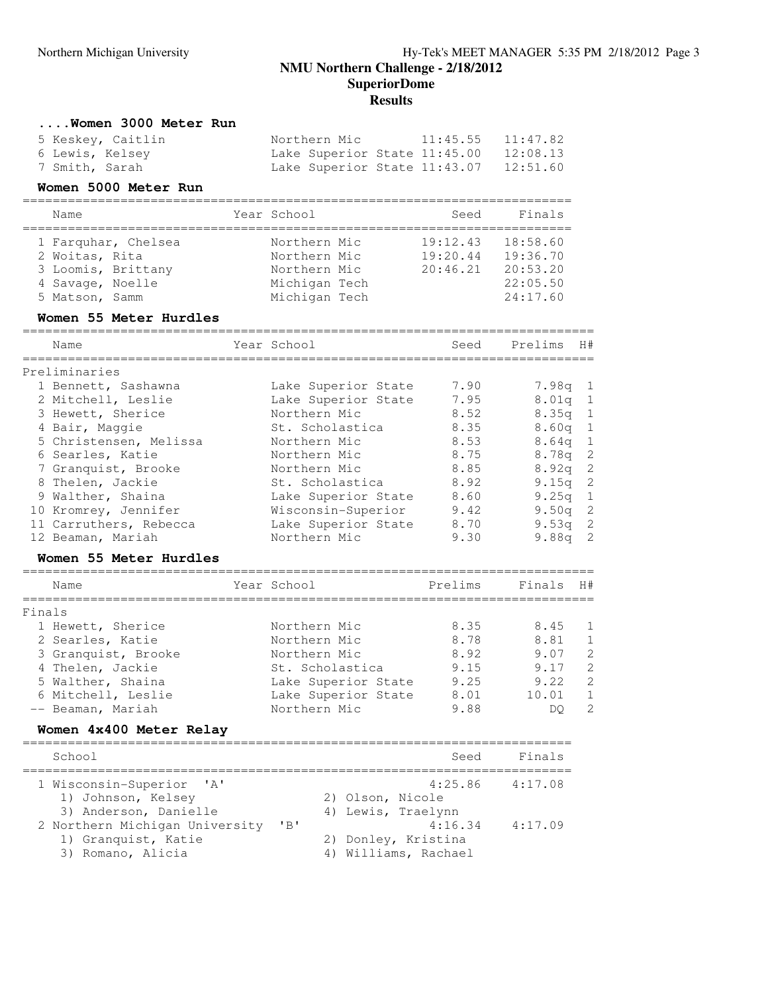## **NMU Northern Challenge - 2/18/2012 SuperiorDome Results**

#### **....Women 3000 Meter Run**

|                 | 5 Keskey, Caitlin | Northern Mic |                              | $11:45.55$ $11:47.82$                 |
|-----------------|-------------------|--------------|------------------------------|---------------------------------------|
| 6 Lewis, Kelsey |                   |              | Lake Superior State 11:45.00 | 12:08.13                              |
| 7 Smith, Sarah  |                   |              |                              | Lake Superior State 11:43.07 12:51.60 |

### **Women 5000 Meter Run**

| Name                | Year School   | Seed     | Finals   |
|---------------------|---------------|----------|----------|
| 1 Farquhar, Chelsea | Northern Mic  | 19:12.43 | 18:58.60 |
| 2 Woitas, Rita      | Northern Mic  | 19:20.44 | 19:36.70 |
| 3 Loomis, Brittany  | Northern Mic  | 20:46.21 | 20:53.20 |
| 4 Savage, Noelle    | Michigan Tech |          | 22:05.50 |
| 5 Matson, Samm      | Michigan Tech |          | 24:17.60 |

### **Women 55 Meter Hurdles**

|        | Name                    | Year School         | Seed    | Prelims           | H#             |
|--------|-------------------------|---------------------|---------|-------------------|----------------|
|        | Preliminaries           |                     |         |                   |                |
|        | 1 Bennett, Sashawna     | Lake Superior State | 7.90    | 7.98a             | -1             |
|        | 2 Mitchell, Leslie      | Lake Superior State | 7.95    | 8.01 <sub>q</sub> | $\mathbf{1}$   |
|        | 3 Hewett, Sherice       | Northern Mic        | 8.52    | 8.35q             | $\mathbf{1}$   |
|        | 4 Bair, Maggie          | St. Scholastica     | 8.35    | 8.60q             | $\mathbf{1}$   |
|        | 5 Christensen, Melissa  | Northern Mic        | 8.53    | 8.64 <sub>q</sub> | $\mathbf{1}$   |
|        | 6 Searles, Katie        | Northern Mic        | 8.75    | 8.78q             | $\overline{c}$ |
|        | 7 Granquist, Brooke     | Northern Mic        | 8.85    | 8.92q             | $\overline{c}$ |
|        | 8 Thelen, Jackie        | St. Scholastica     | 8.92    | 9.15q             | $\overline{c}$ |
|        | 9 Walther, Shaina       | Lake Superior State | 8.60    | 9.25q             | $\mathbf{1}$   |
|        | 10 Kromrey, Jennifer    | Wisconsin-Superior  | 9.42    | 9.50q             | $\overline{c}$ |
|        | 11 Carruthers, Rebecca  | Lake Superior State | 8.70    | 9.53q             | $\overline{c}$ |
|        | 12 Beaman, Mariah       | Northern Mic        | 9.30    | 9.88q             | $\overline{c}$ |
|        | Women 55 Meter Hurdles  |                     |         |                   |                |
|        | Name                    | Year School         | Prelims | Finals            | H#             |
| Finals |                         |                     |         |                   |                |
|        | 1 Hewett, Sherice       | Northern Mic        | 8.35    | 8.45              | 1              |
|        | 2 Searles, Katie        | Northern Mic        | 8.78    | 8.81              | $\mathbf{1}$   |
|        | 3 Granquist, Brooke     | Northern Mic        | 8.92    | 9.07              | $\overline{c}$ |
|        | 4 Thelen, Jackie        | St. Scholastica     | 9.15    | 9.17              | $\overline{c}$ |
|        | 5 Walther, Shaina       | Lake Superior State | 9.25    | 9.22              | $\overline{c}$ |
|        | 6 Mitchell, Leslie      | Lake Superior State | 8.01    | 10.01             | $\mathbf{1}$   |
|        | -- Beaman, Mariah       | Northern Mic        | 9.88    | DQ.               | $\overline{c}$ |
|        | Women 4x400 Meter Relay |                     |         |                   |                |
|        | School                  |                     | Seed    | Finals            |                |

| 1 Wisconsin-Superior 'A'       |       | 4:25.86              | 4:17.08 |
|--------------------------------|-------|----------------------|---------|
| 1) Johnson, Kelsey             |       | 2) Olson, Nicole     |         |
| 3) Anderson, Danielle          |       | 4) Lewis, Traelynn   |         |
| 2 Northern Michigan University | $'$ B | 4:16.34              | 4:17.09 |
| 1) Granquist, Katie            |       | 2) Donley, Kristina  |         |
| 3) Romano, Alicia              |       | 4) Williams, Rachael |         |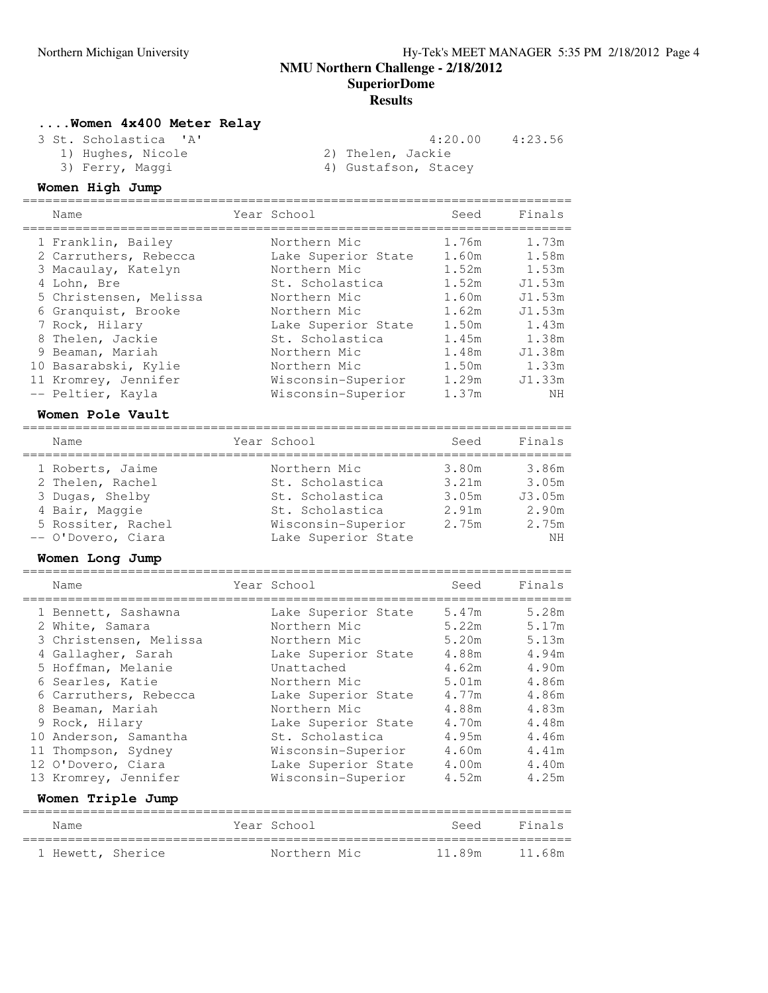**NMU Northern Challenge - 2/18/2012**

**SuperiorDome**

### **Results**

### **....Women 4x400 Meter Relay**

3 St. Scholastica 'A' 4:20.00 4:23.56

- -
- 1) Hughes, Nicole 2) Thelen, Jackie
	-
- 3) Ferry, Maggi 1988 (4) Gustafson, Stacey

## **Women High Jump**

| Name                                                                                                                                                                                                                                         | Year School                                                                                                                                                                                            | Seed                                                                                            | Finals                                                                                               |
|----------------------------------------------------------------------------------------------------------------------------------------------------------------------------------------------------------------------------------------------|--------------------------------------------------------------------------------------------------------------------------------------------------------------------------------------------------------|-------------------------------------------------------------------------------------------------|------------------------------------------------------------------------------------------------------|
| 1 Franklin, Bailey<br>2 Carruthers, Rebecca<br>3 Macaulay, Katelyn<br>4 Lohn, Bre<br>5 Christensen, Melissa<br>6 Granquist, Brooke<br>7 Rock, Hilary<br>8 Thelen, Jackie<br>9 Beaman, Mariah<br>10 Basarabski, Kylie<br>11 Kromrey, Jennifer | Northern Mic<br>Lake Superior State<br>Northern Mic<br>St. Scholastica<br>Northern Mic<br>Northern Mic<br>Lake Superior State<br>St. Scholastica<br>Northern Mic<br>Northern Mic<br>Wisconsin-Superior | 1.76m<br>1.60m<br>1.52m<br>1.52m<br>1.60m<br>1.62m<br>1.50m<br>1.45m<br>1.48m<br>1.50m<br>1.29m | 1.73m<br>1.58m<br>1.53m<br>J1.53m<br>J1.53m<br>J1.53m<br>1.43m<br>1.38m<br>J1.38m<br>1.33m<br>J1.33m |
| -- Peltier, Kayla                                                                                                                                                                                                                            | Wisconsin-Superior                                                                                                                                                                                     | 1.37m                                                                                           | NH                                                                                                   |
|                                                                                                                                                                                                                                              |                                                                                                                                                                                                        |                                                                                                 |                                                                                                      |

### **Women Pole Vault**

| Name               | Year School         | Seed  | Finals |
|--------------------|---------------------|-------|--------|
| 1 Roberts, Jaime   | Northern Mic        | 3.80m | 3.86m  |
| 2 Thelen, Rachel   | St. Scholastica     | 3.21m | 3.05m  |
| 3 Dugas, Shelby    | St. Scholastica     | 3.05m | J3.05m |
| 4 Bair, Maggie     | St. Scholastica     | 2.91m | 2.90m  |
| 5 Rossiter, Rachel | Wisconsin-Superior  | 2.75m | 2.75m  |
| -- O'Dovero, Ciara | Lake Superior State |       | NH     |

#### **Women Long Jump**

|   | Name                                         | Year School                               | Seed           | Finals         |
|---|----------------------------------------------|-------------------------------------------|----------------|----------------|
|   | 1 Bennett, Sashawna<br>2 White, Samara       | Lake Superior State<br>Northern Mic       | 5.47m<br>5.22m | 5.28m<br>5.17m |
|   | 3 Christensen, Melissa<br>4 Gallagher, Sarah | Northern Mic<br>Lake Superior State       | 5.20m<br>4.88m | 5.13m<br>4.94m |
|   | 5 Hoffman, Melanie                           | Unattached                                | 4.62m          | 4.90m          |
|   | 6 Searles, Katie<br>6 Carruthers, Rebecca    | Northern Mic<br>Lake Superior State       | 5.01m<br>4.77m | 4.86m<br>4.86m |
| 8 | Beaman, Mariah                               | Northern Mic                              | 4.88m<br>4.70m | 4.83m<br>4.48m |
|   | 9 Rock, Hilary<br>10 Anderson, Samantha      | Lake Superior State<br>St. Scholastica    | 4.95m          | 4.46m          |
|   | 11 Thompson, Sydney<br>12 O'Dovero, Ciara    | Wisconsin-Superior<br>Lake Superior State | 4.60m<br>4.00m | 4.41m<br>4.40m |
|   | 13 Kromrey, Jennifer                         | Wisconsin-Superior                        | 4.52m          | 4.25m          |
|   | Women Triple Jump                            |                                           |                |                |
|   | Name                                         | Year School                               | Seed           | Finals         |
|   | 1 Hewett, Sherice                            | Northern Mic                              | 11.89m         | 11.68m         |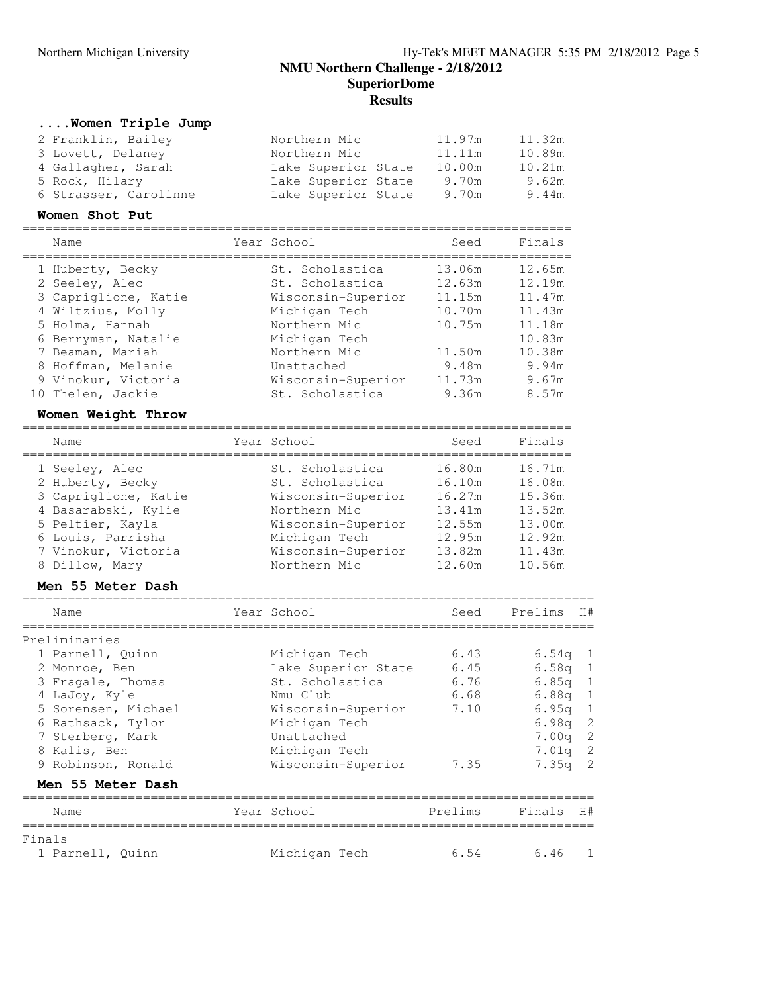## **SuperiorDome Results**

### **....Women Triple Jump**

| 2 Franklin, Bailey    | Northern Mic        | 11.97m | 11.32m |
|-----------------------|---------------------|--------|--------|
| 3 Lovett, Delaney     | Northern Mic        | 11.11m | 10.89m |
| 4 Gallagher, Sarah    | Lake Superior State | 10.00m | 10.21m |
| 5 Rock, Hilary        | Lake Superior State | 9.70m  | 9.62m  |
| 6 Strasser, Carolinne | Lake Superior State | 9.70m  | 9.44m  |

#### **Women Shot Put**

| Name                 | Year School        | Seed   | Finals |
|----------------------|--------------------|--------|--------|
| 1 Huberty, Becky     | St. Scholastica    | 13.06m | 12.65m |
| 2 Seeley, Alec       | St. Scholastica    | 12.63m | 12.19m |
| 3 Capriglione, Katie | Wisconsin-Superior | 11.15m | 11.47m |
| 4 Wiltzius, Molly    | Michigan Tech      | 10.70m | 11.43m |
| 5 Holma, Hannah      | Northern Mic       | 10.75m | 11.18m |
| 6 Berryman, Natalie  | Michigan Tech      |        | 10.83m |
| 7 Beaman, Mariah     | Northern Mic       | 11.50m | 10.38m |
| 8 Hoffman, Melanie   | Unattached         | 9.48m  | 9.94m  |
| 9 Vinokur, Victoria  | Wisconsin-Superior | 11.73m | 9.67m  |
| 10 Thelen, Jackie    | St. Scholastica    | 9.36m  | 8.57m  |

### **Women Weight Throw**

| Name                 | Year School        | Seed   | Finals |
|----------------------|--------------------|--------|--------|
| 1 Seeley, Alec       | St. Scholastica    | 16.80m | 16.71m |
| 2 Huberty, Becky     | St. Scholastica    | 16.10m | 16.08m |
| 3 Capriglione, Katie | Wisconsin-Superior | 16.27m | 15.36m |
| 4 Basarabski, Kylie  | Northern Mic       | 13.41m | 13.52m |
| 5 Peltier, Kayla     | Wisconsin-Superior | 12.55m | 13.00m |
| 6 Louis, Parrisha    | Michigan Tech      | 12.95m | 12.92m |
| 7 Vinokur, Victoria  | Wisconsin-Superior | 13.82m | 11.43m |
| 8 Dillow, Mary       | Northern Mic       | 12.60m | 10.56m |

### **Men 55 Meter Dash**

|        | Name                | Year School         | Seed    | Prelims   | H# |
|--------|---------------------|---------------------|---------|-----------|----|
|        | Preliminaries       |                     |         |           |    |
|        | 1 Parnell, Quinn    | Michigan Tech       | 6.43    | $6.54q$ 1 |    |
|        | 2 Monroe, Ben       | Lake Superior State | 6.45    | $6.58q$ 1 |    |
|        | 3 Fragale, Thomas   | St. Scholastica     | 6.76    | $6.85q$ 1 |    |
|        | 4 LaJoy, Kyle       | Nmu Club            | 6.68    | $6.88q$ 1 |    |
|        | 5 Sorensen, Michael | Wisconsin-Superior  | 7.10    | $6.95q$ 1 |    |
|        | 6 Rathsack, Tylor   | Michigan Tech       |         | $6.98q$ 2 |    |
|        | 7 Sterberg, Mark    | Unattached          |         | $7.00q$ 2 |    |
|        | 8 Kalis, Ben        | Michigan Tech       |         | $7.01q$ 2 |    |
|        | 9 Robinson, Ronald  | Wisconsin-Superior  | 7.35    | $7.35q$ 2 |    |
|        | Men 55 Meter Dash   |                     |         |           |    |
|        | Name                | Year School         | Prelims | Finals    | H# |
| Finals |                     |                     |         |           |    |
|        | 1 Parnell, Quinn    | Michigan Tech       | 6.54    | 6.46      |    |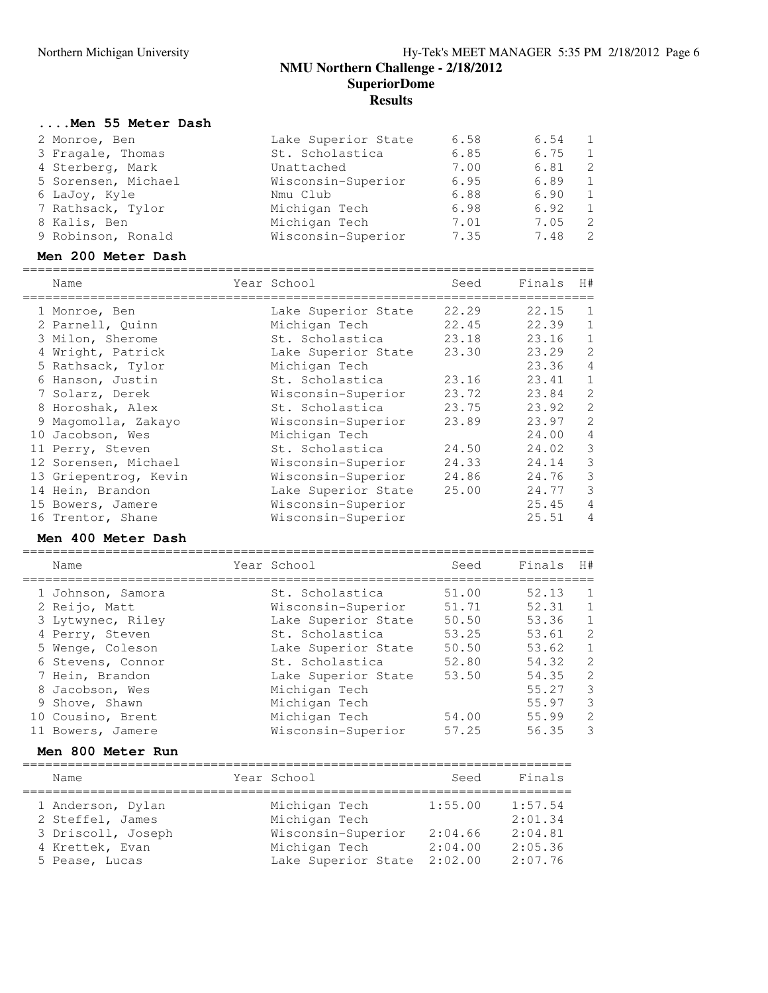## **NMU Northern Challenge - 2/18/2012 SuperiorDome Results**

## **....Men 55 Meter Dash**

| 2 Monroe, Ben       | Lake Superior State | 6.58 | 6.54 | - 1            |
|---------------------|---------------------|------|------|----------------|
| 3 Fragale, Thomas   | St. Scholastica     | 6.85 | 6.75 | $\overline{1}$ |
| 4 Sterberg, Mark    | Unattached          | 7.00 | 6.81 | - 2            |
| 5 Sorensen, Michael | Wisconsin-Superior  | 6.95 | 6.89 | $\overline{1}$ |
| 6 LaJoy, Kyle       | Nmu Club            | 6.88 | 6.90 | -1             |
| 7 Rathsack, Tylor   | Michigan Tech       | 6.98 | 6.92 | $\overline{1}$ |
| 8 Kalis, Ben        | Michigan Tech       | 7.01 | 7.05 | -2             |
| 9 Robinson, Ronald  | Wisconsin-Superior  | 7.35 | 7.48 | -2             |
|                     |                     |      |      |                |

### **Men 200 Meter Dash**

|   | Name                  | Year School         | Seed  | Finals | H#             |
|---|-----------------------|---------------------|-------|--------|----------------|
|   | 1 Monroe, Ben         | Lake Superior State | 22.29 | 22.15  | -1             |
|   | 2 Parnell, Quinn      | Michigan Tech       | 22.45 | 22.39  |                |
|   | 3 Milon, Sherome      | St. Scholastica     | 23.18 | 23.16  |                |
|   | 4 Wright, Patrick     | Lake Superior State | 23.30 | 23.29  | $\mathcal{L}$  |
|   | 5 Rathsack, Tylor     | Michigan Tech       |       | 23.36  | 4              |
|   | 6 Hanson, Justin      | St. Scholastica     | 23.16 | 23.41  | $\mathbf{1}$   |
|   | 7 Solarz, Derek       | Wisconsin-Superior  | 23.72 | 23.84  | 2              |
|   | 8 Horoshak, Alex      | St. Scholastica     | 23.75 | 23.92  | $\mathfrak{D}$ |
| 9 | Magomolla, Zakayo     | Wisconsin-Superior  | 23.89 | 23.97  | $\mathcal{L}$  |
|   | 10 Jacobson, Wes      | Michigan Tech       |       | 24.00  | 4              |
|   | 11 Perry, Steven      | St. Scholastica     | 24.50 | 24.02  | 3              |
|   | 12 Sorensen, Michael  | Wisconsin-Superior  | 24.33 | 24.14  | 3              |
|   | 13 Griepentrog, Kevin | Wisconsin-Superior  | 24.86 | 24.76  | 3              |
|   | 14 Hein, Brandon      | Lake Superior State | 25.00 | 24.77  | 3              |
|   | 15 Bowers, Jamere     | Wisconsin-Superior  |       | 25.45  | 4              |
|   | 16 Trentor, Shane     | Wisconsin-Superior  |       | 25.51  | 4              |

### **Men 400 Meter Dash**

| Name              | Year School         | Seed  | Finals | H#             |
|-------------------|---------------------|-------|--------|----------------|
| 1 Johnson, Samora | St. Scholastica     | 51.00 | 52.13  | -1             |
| 2 Reijo, Matt     | Wisconsin-Superior  | 51.71 | 52.31  | -1             |
| 3 Lytwynec, Riley | Lake Superior State | 50.50 | 53.36  | $\mathbf{1}$   |
| 4 Perry, Steven   | St. Scholastica     | 53.25 | 53.61  | $\overline{2}$ |
| 5 Wenge, Coleson  | Lake Superior State | 50.50 | 53.62  | $\mathbf{1}$   |
| 6 Stevens, Connor | St. Scholastica     | 52.80 | 54.32  | $\overline{2}$ |
| 7 Hein, Brandon   | Lake Superior State | 53.50 | 54.35  | $\overline{2}$ |
| 8 Jacobson, Wes   | Michigan Tech       |       | 55.27  | 3              |
| 9 Shove, Shawn    | Michigan Tech       |       | 55.97  | 3              |
| 10 Cousino, Brent | Michigan Tech       | 54.00 | 55.99  | $\overline{2}$ |
| 11 Bowers, Jamere | Wisconsin-Superior  | 57.25 | 56.35  | 3              |

#### **Men 800 Meter Run**

| Name               | Year School         | Seed    | Finals  |
|--------------------|---------------------|---------|---------|
| 1 Anderson, Dylan  | Michigan Tech       | 1:55.00 | 1:57.54 |
| 2 Steffel, James   | Michigan Tech       |         | 2:01.34 |
| 3 Driscoll, Joseph | Wisconsin-Superior  | 2:04.66 | 2:04.81 |
| 4 Krettek, Evan    | Michigan Tech       | 2:04.00 | 2:05.36 |
| 5 Pease, Lucas     | Lake Superior State | 2:02.00 | 2:07.76 |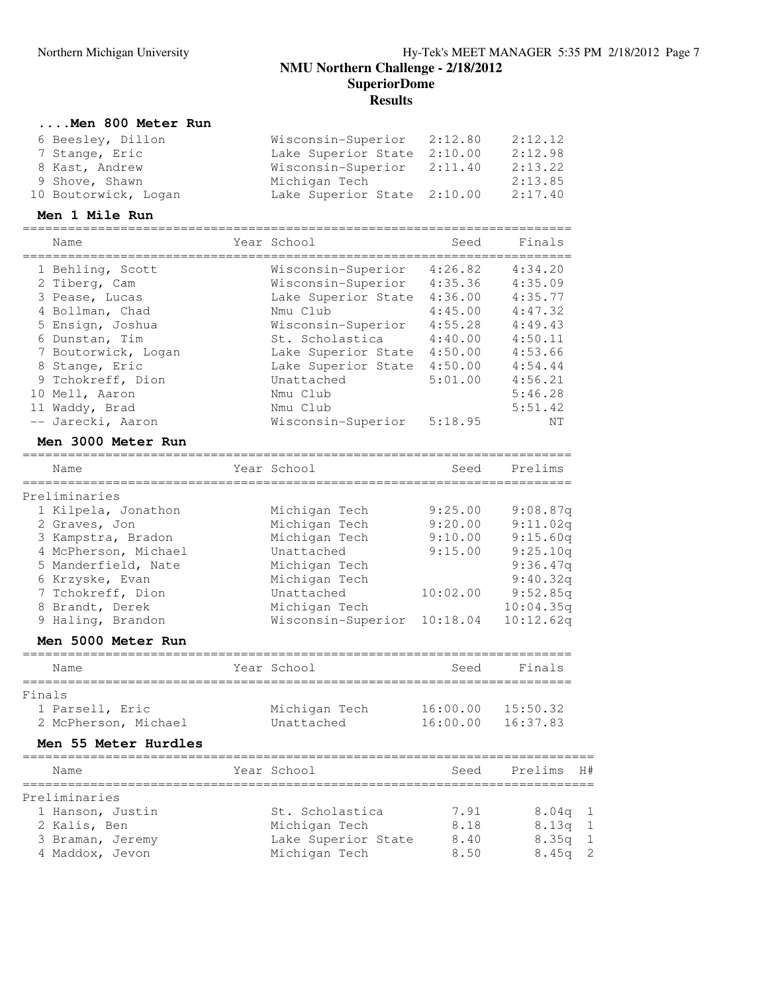### **SuperiorDome**

**Results**

### **....Men 800 Meter Run**

| 6 Beesley, Dillon    | Wisconsin-Superior 2:12.80  | 2:12.12 |
|----------------------|-----------------------------|---------|
| 7 Stange, Eric       | Lake Superior State 2:10.00 | 2:12.98 |
| 8 Kast, Andrew       | Wisconsin-Superior 2:11.40  | 2:13.22 |
| 9 Shove, Shawn       | Michigan Tech               | 2:13.85 |
| 10 Boutorwick, Logan | Lake Superior State 2:10.00 | 2:17.40 |

## **Men 1 Mile Run**

|        | Name                 | Year School         | Seed     | Finals    |              |
|--------|----------------------|---------------------|----------|-----------|--------------|
|        | 1 Behling, Scott     | Wisconsin-Superior  | 4:26.82  | 4:34.20   |              |
|        | 2 Tiberg, Cam        | Wisconsin-Superior  | 4:35.36  | 4:35.09   |              |
|        | 3 Pease, Lucas       | Lake Superior State | 4:36.00  | 4:35.77   |              |
|        | 4 Bollman, Chad      | Nmu Club            | 4:45.00  | 4:47.32   |              |
|        | 5 Ensign, Joshua     | Wisconsin-Superior  | 4:55.28  | 4:49.43   |              |
|        | 6 Dunstan, Tim       | St. Scholastica     | 4:40.00  | 4:50.11   |              |
|        | 7 Boutorwick, Logan  | Lake Superior State | 4:50.00  | 4:53.66   |              |
|        | 8 Stange, Eric       | Lake Superior State | 4:50.00  | 4:54.44   |              |
|        | 9 Tchokreff, Dion    | Unattached          | 5:01.00  | 4:56.21   |              |
|        | 10 Mell, Aaron       | Nmu Club            |          | 5:46.28   |              |
|        | 11 Waddy, Brad       | Nmu Club            |          | 5:51.42   |              |
|        | -- Jarecki, Aaron    | Wisconsin-Superior  | 5:18.95  | ΝT        |              |
|        | Men 3000 Meter Run   |                     |          |           |              |
|        | Name                 | Year School         | Seed     | Prelims   |              |
|        | Preliminaries        |                     |          |           |              |
|        | 1 Kilpela, Jonathon  | Michigan Tech       | 9:25.00  | 9:08.87q  |              |
|        | 2 Graves, Jon        | Michigan Tech       | 9:20.00  | 9:11.02q  |              |
|        | 3 Kampstra, Bradon   | Michigan Tech       | 9:10.00  | 9:15.60q  |              |
|        | 4 McPherson, Michael | Unattached          | 9:15.00  | 9:25.10q  |              |
|        | 5 Manderfield, Nate  | Michigan Tech       |          | 9:36.47q  |              |
|        | 6 Krzyske, Evan      | Michigan Tech       |          | 9:40.32q  |              |
|        | 7 Tchokreff, Dion    | Unattached          | 10:02.00 | 9:52.85q  |              |
|        | 8 Brandt, Derek      | Michigan Tech       |          | 10:04.35q |              |
|        | 9 Haling, Brandon    | Wisconsin-Superior  | 10:18.04 | 10:12.62q |              |
|        | Men 5000 Meter Run   |                     |          |           |              |
|        | Name                 | Year School         | Seed     | Finals    |              |
| Finals | ===========          |                     |          |           |              |
|        | 1 Parsell, Eric      | Michigan Tech       | 16:00.00 | 15:50.32  |              |
|        | 2 McPherson, Michael | Unattached          | 16:00.00 | 16:37.83  |              |
|        | Men 55 Meter Hurdles |                     |          |           |              |
|        |                      |                     |          |           |              |
|        | Name<br>===========  | Year School         | Seed     | Prelims   | H#           |
|        | Preliminaries        |                     |          |           |              |
|        | 1 Hanson, Justin     | St. Scholastica     | 7.91     | 8.04q     | 1            |
|        | 2 Kalis, Ben         | Michigan Tech       | 8.18     | 8.13q     |              |
|        | 3 Braman, Jeremy     | Lake Superior State | 8.40     | 8.35q     | 1            |
|        | 4 Maddox, Jevon      | Michigan Tech       | 8.50     | 8.45q     | $\mathbf{2}$ |
|        |                      |                     |          |           |              |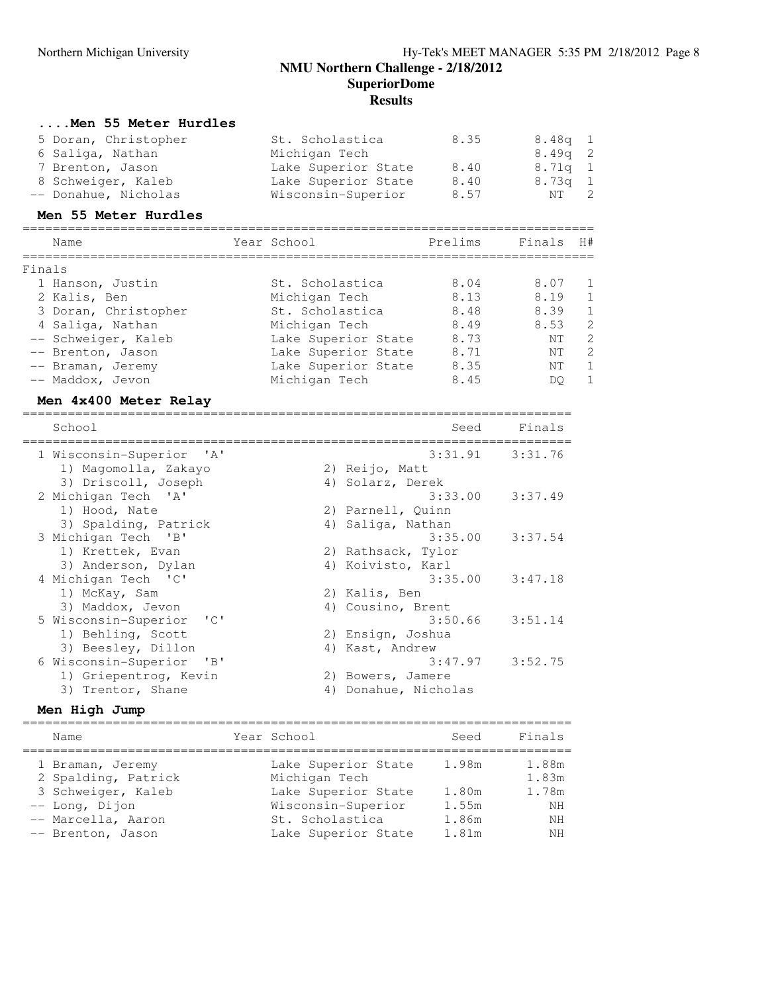## **NMU Northern Challenge - 2/18/2012 SuperiorDome**

**Results**

### **....Men 55 Meter Hurdles**

| 5 Doran, Christopher | St. Scholastica     | 8.35 | $8.48q$ 1 |  |
|----------------------|---------------------|------|-----------|--|
| 6 Saliga, Nathan     | Michigan Tech       |      | $8.49q$ 2 |  |
| 7 Brenton, Jason     | Lake Superior State | 8.40 | 8.71q 1   |  |
| 8 Schweiger, Kaleb   | Lake Superior State | 8.40 | $8.73q$ 1 |  |
| -- Donahue, Nicholas | Wisconsin-Superior  | 8.57 | NT 2      |  |

## **Men 55 Meter Hurdles**

| Name                 | Year School         | Prelims | Finals | H#             |
|----------------------|---------------------|---------|--------|----------------|
| Finals               |                     |         |        |                |
| 1 Hanson, Justin     | St. Scholastica     | 8.04    | 8.07   | -1             |
| 2 Kalis, Ben         | Michigan Tech       | 8.13    | 8.19   | $\mathbf{1}$   |
| 3 Doran, Christopher | St. Scholastica     | 8.48    | 8.39   | $\mathbf{1}$   |
| 4 Saliga, Nathan     | Michigan Tech       | 8.49    | 8.53   | $\overline{2}$ |
| -- Schweiger, Kaleb  | Lake Superior State | 8.73    | NT     | 2              |
| -- Brenton, Jason    | Lake Superior State | 8.71    | NT     | 2              |
| -- Braman, Jeremy    | Lake Superior State | 8.35    | NT     | 1              |
| -- Maddox, Jevon     | Michigan Tech       | 8.45    | DO     | -1             |

## **Men 4x400 Meter Relay**

| School                                                                                                                      | Seed                 | Finals  |
|-----------------------------------------------------------------------------------------------------------------------------|----------------------|---------|
| 1 Wisconsin-Superior 'A'                                                                                                    | $3:31.91$ $3:31.76$  |         |
| 1) Magomolla, Zakayo                                                                                                        | 2) Reijo, Matt       |         |
| 3) Driscoll, Joseph                                                                                                         | 4) Solarz, Derek     |         |
| 2 Michigan Tech 'A'                                                                                                         | $3:33.00$ $3:37.49$  |         |
| 1) Hood, Nate                                                                                                               | 2) Parnell, Quinn    |         |
| 3) Spalding, Patrick                                                                                                        | 4) Saliga, Nathan    |         |
| 3 Michigan Tech 'B'                                                                                                         | 3:35.00              | 3:37.54 |
| 1) Krettek, Evan                                                                                                            | 2) Rathsack, Tylor   |         |
| 3) Anderson, Dylan                                                                                                          | 4) Koivisto, Karl    |         |
| 4 Michigan Tech 'C'                                                                                                         | $3:35.00$ $3:47.18$  |         |
| 1) McKay, Sam                                                                                                               | 2) Kalis, Ben        |         |
| 3) Maddox, Jevon                                                                                                            | 4) Cousino, Brent    |         |
| 5 Wisconsin-Superior 'C'                                                                                                    | $3:50.66$ $3:51.14$  |         |
| 1) Behling, Scott                                                                                                           | 2) Ensign, Joshua    |         |
| 3) Beesley, Dillon                                                                                                          | 4) Kast, Andrew      |         |
| 6 Wisconsin-Superior<br>$\overline{\phantom{a}}$ $\overline{\phantom{a}}$ $\overline{\phantom{a}}$ $\overline{\phantom{a}}$ | $3:47.97$ $3:52.75$  |         |
| 1) Griepentrog, Kevin                                                                                                       | 2) Bowers, Jamere    |         |
| 3) Trentor, Shane                                                                                                           | 4) Donahue, Nicholas |         |

### **Men High Jump**

| Name                                                                                                                       | Year School                                                                                                                 | Seed                                      | Finals                                    |
|----------------------------------------------------------------------------------------------------------------------------|-----------------------------------------------------------------------------------------------------------------------------|-------------------------------------------|-------------------------------------------|
| 1 Braman, Jeremy<br>2 Spalding, Patrick<br>3 Schweiger, Kaleb<br>-- Long, Dijon<br>-- Marcella, Aaron<br>-- Brenton, Jason | Lake Superior State<br>Michigan Tech<br>Lake Superior State<br>Wisconsin-Superior<br>St. Scholastica<br>Lake Superior State | 1.98m<br>1.80m<br>1.55m<br>1.86m<br>1.81m | 1.88m<br>1.83m<br>1.78m<br>NH<br>ΝH<br>ΝH |
|                                                                                                                            |                                                                                                                             |                                           |                                           |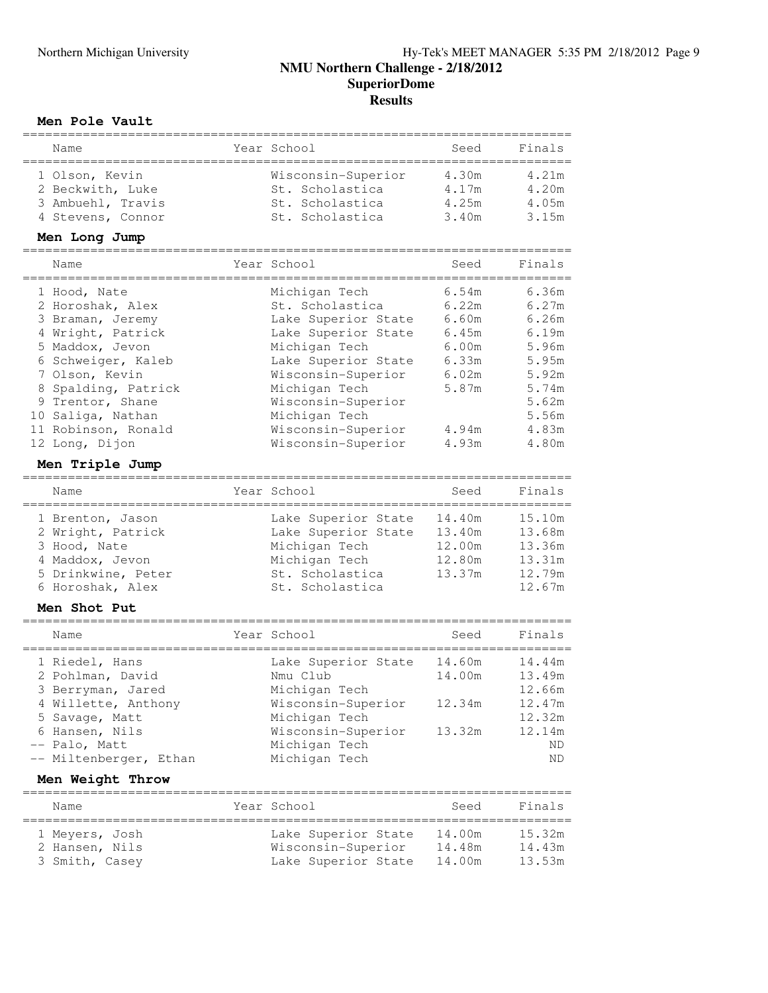### **Men Pole Vault**

| Name                   | Year School         | Seed   | Finals         |
|------------------------|---------------------|--------|----------------|
| 1 Olson, Kevin         | Wisconsin-Superior  | 4.30m  | 4.21m          |
| 2 Beckwith, Luke       | St. Scholastica     | 4.17m  | 4.20m          |
| 3 Ambuehl, Travis      | St. Scholastica     | 4.25m  | 4.05m          |
| 4 Stevens, Connor      | St. Scholastica     | 3.40m  | 3.15m          |
| Men Long Jump          |                     |        |                |
| Name                   | Year School         | Seed   | Finals         |
|                        |                     |        |                |
| 1 Hood, Nate           | Michigan Tech       | 6.54m  | 6.36m          |
| 2 Horoshak, Alex       | St. Scholastica     | 6.22m  | 6.27m          |
| 3 Braman, Jeremy       | Lake Superior State | 6.60m  | 6.26m          |
| 4 Wright, Patrick      | Lake Superior State | 6.45m  | 6.19m          |
| 5 Maddox, Jevon        | Michigan Tech       | 6.00m  | 5.96m          |
| 6 Schweiger, Kaleb     | Lake Superior State | 6.33m  | 5.95m          |
| 7 Olson, Kevin         | Wisconsin-Superior  | 6.02m  | 5.92m          |
| 8 Spalding, Patrick    | Michigan Tech       | 5.87m  | 5.74m          |
| Trentor, Shane<br>9    | Wisconsin-Superior  |        | 5.62m          |
| 10 Saliga, Nathan      | Michigan Tech       |        | 5.56m          |
| 11 Robinson, Ronald    | Wisconsin-Superior  | 4.94m  | 4.83m<br>4.80m |
| 12 Long, Dijon         | Wisconsin-Superior  | 4.93m  |                |
| Men Triple Jump        |                     |        |                |
| Name                   | Year School         | Seed   | Finals         |
| 1 Brenton, Jason       | Lake Superior State | 14.40m | 15.10m         |
| 2 Wright, Patrick      | Lake Superior State | 13.40m | 13.68m         |
| 3 Hood, Nate           | Michigan Tech       | 12.00m | 13.36m         |
| 4 Maddox, Jevon        | Michigan Tech       | 12.80m | 13.31m         |
| 5 Drinkwine, Peter     | St. Scholastica     | 13.37m | 12.79m         |
| 6 Horoshak, Alex       | St. Scholastica     |        | 12.67m         |
| Men Shot Put           |                     |        |                |
| Name                   | Year School         | Seed   | Finals         |
| 1 Riedel, Hans         | Lake Superior State | 14.60m | 14.44m         |
| 2 Pohlman, David       | Nmu Club            | 14.00m | 13.49m         |
| 3 Berryman, Jared      | Michigan Tech       |        | 12.66m         |
| 4 Willette, Anthony    | Wisconsin-Superior  | 12.34m | 12.47m         |
| 5 Savage, Matt         | Michigan Tech       |        | 12.32m         |
| 6 Hansen, Nils         | Wisconsin-Superior  | 13.32m | 12.14m         |
| -- Palo, Matt          | Michigan Tech       |        | ΝD             |
| -- Miltenberger, Ethan | Michigan Tech       |        | ΝD             |
| Men Weight Throw       |                     |        |                |
| Name                   | Year School         | Seed   | Finals         |
|                        |                     |        |                |
| 1 Meyers, Josh         | Lake Superior State | 14.00m | 15.32m         |
| 2 Hansen, Nils         | Wisconsin-Superior  | 14.48m | 14.43m         |
| 3 Smith, Casey         | Lake Superior State | 14.00m | 13.53m         |